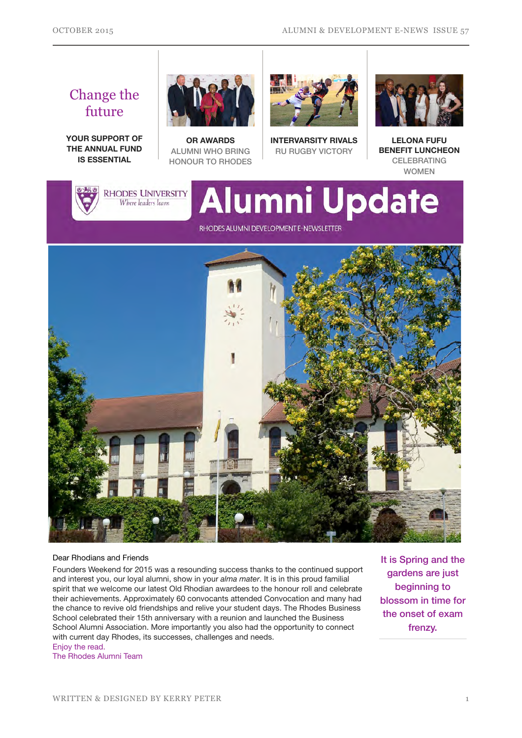## Change the future

**YOUR SUPPORT OF THE ANNUAL FUND IS ESSENTIAL**



**OR AWARDS**  ALUMNI WHO BRING HONOUR TO RHODES



**INTERVARSITY RIVALS**  RU RUGBY VICTORY



**LELONA FUFU BENEFIT LUNCHEON**  CELEBRATING WOMEN



**RHODES UNIVERSITY** Where leaders learn

# **Alumni Update**

RHODES ALUMNI DEVELOPMENT E-NEWSLETTER



#### Dear Rhodians and Friends

Founders Weekend for 2015 was a resounding success thanks to the continued support and interest you, our loyal alumni, show in your *alma mater*. It is in this proud familial spirit that we welcome our latest Old Rhodian awardees to the honour roll and celebrate their achievements. Approximately 60 convocants attended Convocation and many had the chance to revive old friendships and relive your student days. The Rhodes Business School celebrated their 15th anniversary with a reunion and launched the Business School Alumni Association. More importantly you also had the opportunity to connect with current day Rhodes, its successes, challenges and needs. Enjoy the read.

The Rhodes Alumni Team

It is Spring and the gardens are just beginning to blossom in time for the onset of exam frenzy.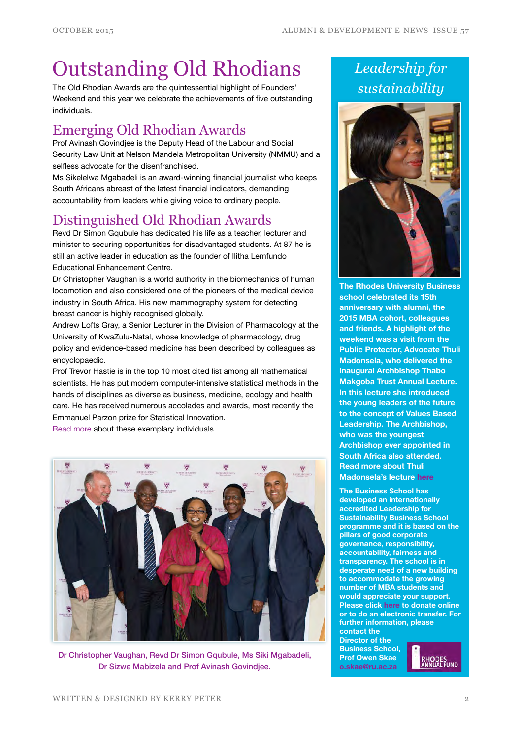## Outstanding Old Rhodians

The Old Rhodian Awards are the quintessential highlight of Founders' Weekend and this year we celebrate the achievements of five outstanding individuals.

## Emerging Old Rhodian Awards

Prof Avinash Govindjee is the Deputy Head of the Labour and Social Security Law Unit at Nelson Mandela Metropolitan University (NMMU) and a selfless advocate for the disenfranchised.

Ms Sikelelwa Mgabadeli is an award-winning financial journalist who keeps South Africans abreast of the latest financial indicators, demanding accountability from leaders while giving voice to ordinary people.

## Distinguished Old Rhodian Awards

Revd Dr Simon Gqubule has dedicated his life as a teacher, lecturer and minister to securing opportunities for disadvantaged students. At 87 he is still an active leader in education as the founder of Ilitha Lemfundo Educational Enhancement Centre.

Dr Christopher Vaughan is a world authority in the biomechanics of human locomotion and also considered one of the pioneers of the medical device industry in South Africa. His new mammography system for detecting breast cancer is highly recognised globally.

Andrew Lofts Gray, a Senior Lecturer in the Division of Pharmacology at the University of KwaZulu-Natal, whose knowledge of pharmacology, drug policy and evidence-based medicine has been described by colleagues as encyclopaedic.

Prof Trevor Hastie is in the top 10 most cited list among all mathematical scientists. He has put modern computer-intensive statistical methods in the hands of disciplines as diverse as business, medicine, ecology and health care. He has received numerous accolades and awards, most recently the Emmanuel Parzon prize for Statistical Innovation.

[Read more](http://bit.ly/1FUd3eK) about these exemplary individuals.



Dr Christopher Vaughan, Revd Dr Simon Gqubule, Ms Siki Mgabadeli, Dr Sizwe Mabizela and Prof Avinash Govindjee.

*Leadership for sustainability*



**The Rhodes University Business school celebrated its 15th anniversary with alumni, the 2015 MBA cohort, colleagues and friends. A highlight of the weekend was a visit from the Public Protector, Advocate Thuli Madonsela, who delivered the inaugural Archbishop Thabo Makgoba Trust Annual Lecture. In this lecture she introduced the young leaders of the future to the concept of Values Based Leadership. The Archbishop, who was the youngest Archbishop ever appointed in South Africa also attended. Read more about Thuli Madonsela's lecture [here](http://www.ru.ac.za/news/latestnews/valuesbasedleadershipthroughtheeyesofthulimadonsela-1.html)**

**The Business School has developed an internationally accredited Leadership for Sustainability Business School programme and it is based on the pillars of good corporate governance, responsibility, accountability, fairness and transparency. The school is in desperate need of a new building to accommodate the growing number of MBA students and would appreciate your support. Please click [here](https://www.ru.ac.za/alumnigiving/) to donate online or to do an electronic transfer. For further information, please contact the** 

**Director of the Business School, Prof Owen Skae [o.skae@ru.ac.za](mailto:o.skae@ru.ac.za)**

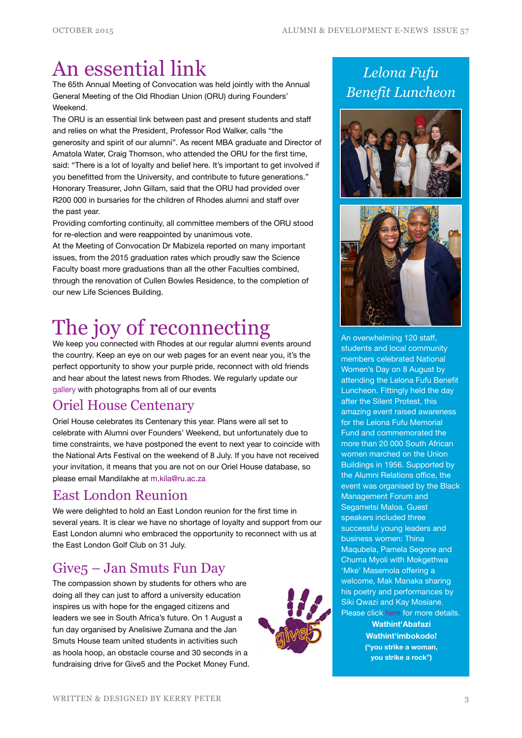## An essential link

The 65th Annual Meeting of Convocation was held jointly with the Annual General Meeting of the Old Rhodian Union (ORU) during Founders' Weekend.

The ORU is an essential link between past and present students and staff and relies on what the President, Professor Rod Walker, calls "the generosity and spirit of our alumni". As recent MBA graduate and Director of Amatola Water, Craig Thomson, who attended the ORU for the first time, said: "There is a lot of loyalty and belief here. It's important to get involved if you benefitted from the University, and contribute to future generations." Honorary Treasurer, John Gillam, said that the ORU had provided over R200 000 in bursaries for the children of Rhodes alumni and staff over the past year.

Providing comforting continuity, all committee members of the ORU stood for re-election and were reappointed by unanimous vote.

At the Meeting of Convocation Dr Mabizela reported on many important issues, from the 2015 graduation rates which proudly saw the Science Faculty boast more graduations than all the other Faculties combined, through the renovation of Cullen Bowles Residence, to the completion of our new Life Sciences Building.

## The joy of reconnecting

We keep you connected with Rhodes at our regular alumni events around the country. Keep an eye on our web pages for an event near you, it's the perfect opportunity to show your purple pride, reconnect with old friends and hear about the latest news from Rhodes. We regularly update our [gallery](http://gallery.ru.ac.za/v/ALUMNI_001/) with photographs from all of our events

## Oriel House Centenary

Oriel House celebrates its Centenary this year. Plans were all set to celebrate with Alumni over Founders' Weekend, but unfortunately due to time constraints, we have postponed the event to next year to coincide with the National Arts Festival on the weekend of 8 July. If you have not received your invitation, it means that you are not on our Oriel House database, so please email Mandilakhe at [m.kila@ru.ac.za](mailto:m.kila@ru.ac.za)

## East London Reunion

We were delighted to hold an East London reunion for the first time in several years. It is clear we have no shortage of loyalty and support from our East London alumni who embraced the opportunity to reconnect with us at the East London Golf Club on 31 July.

## Give5 – Jan Smuts Fun Day

The compassion shown by students for others who are doing all they can just to afford a university education inspires us with hope for the engaged citizens and leaders we see in South Africa's future. On 1 August a fun day organised by Anelisiwe Zumana and the Jan Smuts House team united students in activities such as hoola hoop, an obstacle course and 30 seconds in a fundraising drive for Give5 and the Pocket Money Fund.



## *Lelona Fufu Benefit Luncheon*





An overwhelming 120 staff, students and local community members celebrated National Women's Day on 8 August by attending the Lelona Fufu Benefit Luncheon. Fittingly held the day after the Silent Protest, this amazing event raised awareness for the Lelona Fufu Memorial Fund and commemorated the more than 20 000 South African women marched on the Union Buildings in 1956. Supported by the Alumni Relations office, the event was organised by the Black Management Forum and Segametsi Maloa. Guest speakers included three successful young leaders and business women: Thina Maqubela, Pamela Segone and Chuma Myoli with Mokgethwa 'Mke' Masemola offering a welcome, Mak Manaka sharing his poetry and performances by Siki Qwazi and Kay Mosiane. Please click [here](http://www.ru.ac.za/alumni/giving/lelonafufuwomensdaybenefitluncheon/) for more details. **Wathint'Abafazi Wathint'imbokodo! ("you strike a woman, you strike a rock")**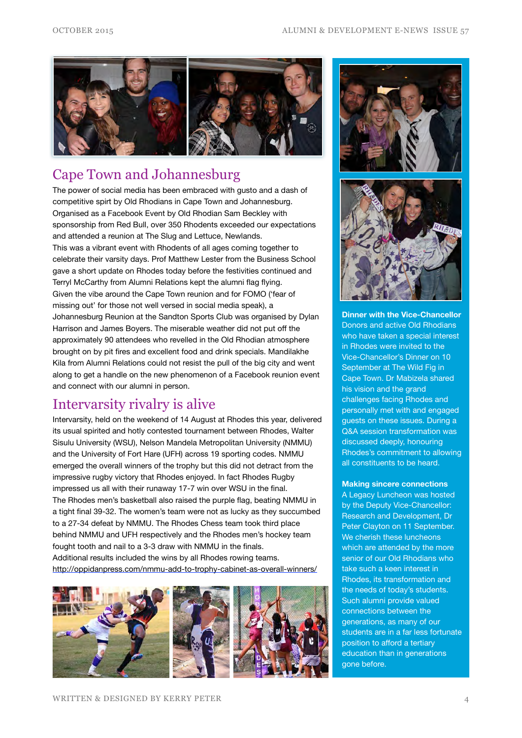

## Cape Town and Johannesburg

The power of social media has been embraced with gusto and a dash of competitive spirt by Old Rhodians in Cape Town and Johannesburg. Organised as a Facebook Event by Old Rhodian Sam Beckley with sponsorship from Red Bull, over 350 Rhodents exceeded our expectations and attended a reunion at The Slug and Lettuce, Newlands. This was a vibrant event with Rhodents of all ages coming together to celebrate their varsity days. Prof Matthew Lester from the Business School gave a short update on Rhodes today before the festivities continued and Terryl McCarthy from Alumni Relations kept the alumni flag flying. Given the vibe around the Cape Town reunion and for FOMO ('fear of missing out' for those not well versed in social media speak), a Johannesburg Reunion at the Sandton Sports Club was organised by Dylan Harrison and James Boyers. The miserable weather did not put off the approximately 90 attendees who revelled in the Old Rhodian atmosphere brought on by pit fires and excellent food and drink specials. Mandilakhe Kila from Alumni Relations could not resist the pull of the big city and went along to get a handle on the new phenomenon of a Facebook reunion event and connect with our alumni in person.

### Intervarsity rivalry is alive

Intervarsity, held on the weekend of 14 August at Rhodes this year, delivered its usual spirited and hotly contested tournament between Rhodes, Walter Sisulu University (WSU), Nelson Mandela Metropolitan University (NMMU) and the University of Fort Hare (UFH) across 19 sporting codes. NMMU emerged the overall winners of the trophy but this did not detract from the impressive rugby victory that Rhodes enjoyed. In fact Rhodes Rugby impressed us all with their runaway 17-7 win over WSU in the final. The Rhodes men's basketball also raised the purple flag, beating NMMU in a tight final 39-32. The women's team were not as lucky as they succumbed to a 27-34 defeat by NMMU. The Rhodes Chess team took third place behind NMMU and UFH respectively and the Rhodes men's hockey team fought tooth and nail to a 3-3 draw with NMMU in the finals. Additional results included the wins by all Rhodes rowing teams. <http://oppidanpress.com/nmmu-add-to-trophy-cabinet-as-overall-winners/>







**Dinner with the Vice-Chancellor** Donors and active Old Rhodians who have taken a special interest in Rhodes were invited to the Vice-Chancellor's Dinner on 10 September at The Wild Fig in Cape Town. Dr Mabizela shared his vision and the grand challenges facing Rhodes and personally met with and engaged guests on these issues. During a Q&A session transformation was discussed deeply, honouring Rhodes's commitment to allowing all constituents to be heard.

#### **Making sincere connections**

A Legacy Luncheon was hosted by the Deputy Vice-Chancellor: Research and Development, Dr Peter Clayton on 11 September. We cherish these luncheons which are attended by the more senior of our Old Rhodians who take such a keen interest in Rhodes, its transformation and the needs of today's students. Such alumni provide valued connections between the generations, as many of our students are in a far less fortunate position to afford a tertiary education than in generations gone before.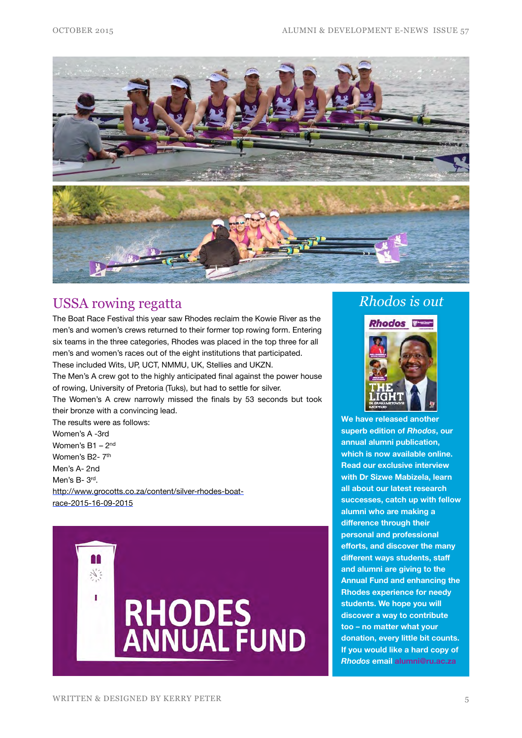

### USSA rowing regatta

The Boat Race Festival this year saw Rhodes reclaim the Kowie River as the men's and women's crews returned to their former top rowing form. Entering six teams in the three categories, Rhodes was placed in the top three for all men's and women's races out of the eight institutions that participated. These included Wits, UP, UCT, NMMU, UK, Stellies and UKZN.

The Men's A crew got to the highly anticipated final against the power house of rowing, University of Pretoria (Tuks), but had to settle for silver.

The Women's A crew narrowly missed the finals by 53 seconds but took their bronze with a convincing lead.

The results were as follows: Women's A -3rd Women's B1 – 2nd Women's B2-7<sup>th</sup> Men's A- 2nd Men's B- 3rd. [http://www.grocotts.co.za/content/silver-rhodes-boat](http://www.grocotts.co.za/content/silver-rhodes-boat-race-2015-16-09-2015)race-2015-16-09-2015



### *Rhodos is out*

#### **Rhodos**



**We have released another superb edition of** *Rhodos***, our annual alumni publication, which is now available [online.](http://www.myvirtualpaper.com/doc/rhodes_university/rhodos-2015/2015091501/) Read our exclusive interview with Dr Sizwe Mabizela, learn all about our latest research successes, catch up with fellow alumni who are making a difference through their personal and professional efforts, and discover the many different ways students, staff and alumni are giving to the Annual Fund and enhancing the Rhodes experience for needy students. We hope you will discover a way to contribute too – no matter what your donation, every little bit counts. If you would like a hard copy of**  *Rhodos* **email [alumni@ru.ac.za](mailto:alumni@ru.ac.za)**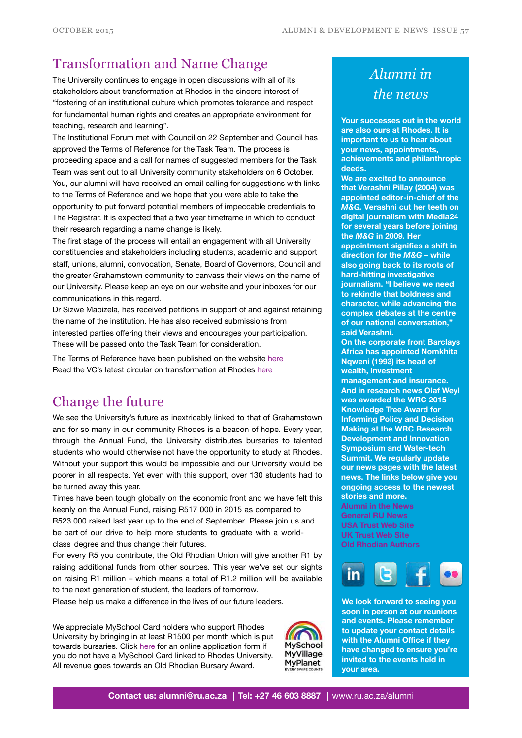## Transformation and Name Change

The University continues to engage in open discussions with all of its stakeholders about transformation at Rhodes in the sincere interest of "fostering of an institutional culture which promotes tolerance and respect for fundamental human rights and creates an appropriate environment for teaching, research and learning".

The Institutional Forum met with Council on 22 September and Council has approved the Terms of Reference for the Task Team. The process is proceeding apace and a call for names of suggested members for the Task Team was sent out to all University community stakeholders on 6 October. You, our alumni will have received an email calling for suggestions with links to the Terms of Reference and we hope that you were able to take the opportunity to put forward potential members of impeccable credentials to The Registrar. It is expected that a two year timeframe in which to conduct their research regarding a name change is likely.

The first stage of the process will entail an engagement with all University constituencies and stakeholders including students, academic and support staff, unions, alumni, convocation, Senate, Board of Governors, Council and the greater Grahamstown community to canvass their views on the name of our University. Please keep an eye on our website and your inboxes for our communications in this regard.

Dr Sizwe Mabizela, has received petitions in support of and against retaining the name of the institution. He has also received submissions from interested parties offering their views and encourages your participation. These will be passed onto the Task Team for consideration.

The Terms of Reference have been published on the website [here](http://www.ru.ac.za/media/rhodesuniversity/content/communications/documents/Terms%20of%20reference%20and%20call%20for%20names%20RU%20Task%20Team.pdf) Read the VC's latest circular on transformation at Rhodes [here](http://www.ru.ac.za/media/rhodesuniversity/content/alumni/documents/VC%20address%20on%20transformation%20issues.pdf)

## Change the future

We see the University's future as inextricably linked to that of Grahamstown and for so many in our community Rhodes is a beacon of hope. Every year, through the Annual Fund, the University distributes bursaries to talented students who would otherwise not have the opportunity to study at Rhodes. Without your support this would be impossible and our University would be poorer in all respects. Yet even with this support, over 130 students had to be turned away this year.

Times have been tough globally on the economic front and we have felt this keenly on the Annual Fund, raising R517 000 in 2015 as compared to R523 000 raised last year up to the end of September. Please join us and be part of our drive to help more students to graduate with a worldclass degree and thus change their futures.

For every R5 you contribute, the Old Rhodian Union will give another R1 by raising additional funds from other sources. This year we've set our sights on raising R1 million – which means a total of R1.2 million will be available to the next generation of student, the leaders of tomorrow.

Please help us make a difference in the lives of our future leaders.

We appreciate MySchool Card holders who support Rhodes University by bringing in at least R1500 per month which is put towards bursaries. Click [here](https://www.myschool.co.za/supporter/apply/) for an online application form if you do not have a MySchool Card linked to Rhodes University. All revenue goes towards an Old Rhodian Bursary Award.



## *Alumni in the news*

**Your successes out in the world are also ours at Rhodes. It is important to us to hear about your news, appointments, achievements and philanthropic deeds.** 

**We are excited to announce that Verashni Pillay (2004) was appointed editor-in-chief of the**  *M&G.* **Verashni cut her teeth on digital journalism with Media24 for several years before joining the** *M&G* **in 2009. Her appointment signifies a shift in direction for the** *M&G* **– while also going back to its roots of hard-hitting investigative journalism. "I believe we need to rekindle that boldness and character, while advancing the complex debates at the centre of our national conversation," said Verashni.** 

**On the corporate front Barclays Africa has appointed Nomkhita Nqweni (1993) its head of wealth, investment management and insurance. And in research news Olaf Weyl was awarded the WRC 2015 Knowledge Tree Award for Informing Policy and Decision [Making at the WRC Research](http://www.mynewsroom.co.za/water-research-commission-research-development-and-innovation-symposium-and-water-tech-summit/)  Development and Innovation Symposium and Water-tech Summit. We regularly update our news pages with the latest news. The links below give you ongoing access to the newest stories and more.** 

**[Alumni in the News](http://www.ru.ac.za/alumni/alumnirelations/news/alumniinthenews/) [General RU News](http://www.ru.ac.za/news/)  [USA Trust Web Site](http://www.rhodesalumni.com)  [UK Trust Web Site](http://www.rhodesalumni.co.uk) [Old Rhodian Authors](http://www.ru.ac.za/alumni/resources/orauthors/)** 



**We look forward to seeing you soon in person at our reunions and events. Please remember to update your contact details with the Alumni Office if they have changed to ensure you're invited to the events held in your area.**